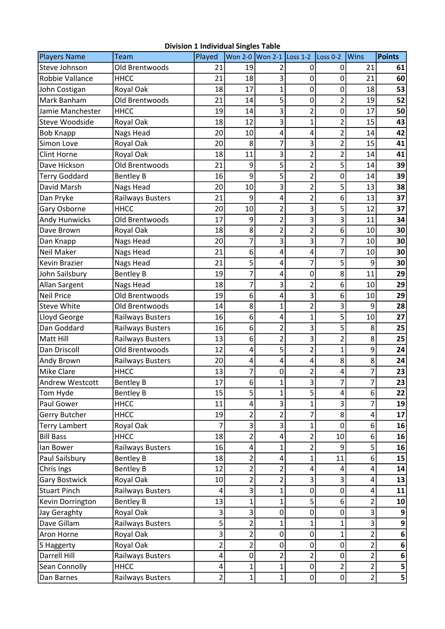| Players Name           | Team                    | Played         |                | Won 2-0 Won 2-1 Loss 1-2 |                | Loss 0-2                | <b>Wins</b>    | <b>Points</b>           |
|------------------------|-------------------------|----------------|----------------|--------------------------|----------------|-------------------------|----------------|-------------------------|
| Steve Johnson          | Old Brentwoods          | 21             | 19             | 2                        | 0              | 0                       | 21             | 61                      |
| Robbie Vallance        | <b>HHCC</b>             | 21             | 18             | 3                        | 0              | 0                       | 21             | 60                      |
| John Costigan          | Royal Oak               | 18             | 17             | 1                        | 0              | 0                       | 18             | 53                      |
| Mark Banham            | Old Brentwoods          | 21             | 14             | 5                        | 0              | 2                       | 19             | 52                      |
| Jamie Manchester       | <b>HHCC</b>             | 19             | 14             | 3                        | $\overline{2}$ | $\mathbf 0$             | 17             | 50                      |
| Steve Woodside         | Royal Oak               | 18             | 12             | 3                        | $\mathbf 1$    | 2                       | 15             | 43                      |
| <b>Bob Knapp</b>       | Nags Head               | 20             | 10             | 4                        | 4              | 2                       | 14             | 42                      |
| Simon Love             | Royal Oak               | 20             | 8              | $\overline{7}$           | 3              | 2                       | 15             | 41                      |
| <b>Clint Horne</b>     | Royal Oak               | 18             | 11             | 3                        | $\overline{2}$ | 2                       | 14             | 41                      |
| Dave Hickson           | Old Brentwoods          | 21             | 9              | 5                        | $\overline{2}$ | 5                       | 14             | 39                      |
| <b>Terry Goddard</b>   | <b>Bentley B</b>        | 16             | 9              | 5                        | $\overline{2}$ | $\pmb{0}$               | 14             | 39                      |
| David Marsh            | Nags Head               | 20             | 10             | 3                        | $\overline{2}$ | 5                       | 13             | 38                      |
| Dan Pryke              | <b>Railways Busters</b> | 21             | 9              | 4                        | $\overline{2}$ | 6                       | 13             | 37                      |
| Gary Osborne           | <b>HHCC</b>             | 20             | 10             | 2                        | 3              | 5                       | 12             | 37                      |
| <b>Andy Hunwicks</b>   | Old Brentwoods          | 17             | 9              | $\overline{2}$           | 3              | 3                       | 11             | 34                      |
| Dave Brown             | Royal Oak               | 18             | 8              | $\overline{2}$           | $\overline{2}$ | 6                       | 10             | 30                      |
| Dan Knapp              | Nags Head               | 20             | 7              | 3                        | 3              | 7                       | 10             | 30                      |
| <b>Neil Maker</b>      | Nags Head               | 21             | 6              | 4                        | 4              | 7                       | 10             | 30                      |
| <b>Kevin Brazier</b>   | Nags Head               | 21             | 5              | 4                        | 7              | 5                       | 9              | 30                      |
| John Sailsbury         | <b>Bentley B</b>        | 19             | 7              | 4                        | 0              | 8                       | 11             | 29                      |
| Allan Sargent          | Nags Head               | 18             | 7              | 3                        | $\overline{2}$ | 6                       | 10             | 29                      |
| <b>Neil Price</b>      | Old Brentwoods          | 19             | 6              | 4                        | 3              | 6                       | 10             | 29                      |
| <b>Steve White</b>     | Old Brentwoods          | 14             | 8              | $\mathbf{1}$             | $\overline{2}$ | 3                       | 9              | 28                      |
| Lloyd George           | <b>Railways Busters</b> | 16             | 6              | 4                        | 1              | 5                       | 10             | 27                      |
| Dan Goddard            | <b>Railways Busters</b> | 16             | 6              | $\overline{\mathbf{c}}$  | 3              | 5                       | 8              | 25                      |
| <b>Matt Hill</b>       | <b>Railways Busters</b> | 13             | 6              | $\overline{2}$           | 3              | 2                       | 8              | 25                      |
| Dan Driscoll           | Old Brentwoods          | 12             | 4              | 5                        | $\overline{2}$ | $\mathbf{1}$            | 9              | 24                      |
| Andy Brown             | <b>Railways Busters</b> | 20             | 4              | 4                        | 4              | 8                       | 8              | 24                      |
| <b>Mike Clare</b>      | <b>HHCC</b>             | 13             | 7              | 0                        | $\overline{2}$ | 4                       | 7              | 23                      |
| <b>Andrew Westcott</b> | <b>Bentley B</b>        | 17             | 6              | 1                        | 3              | 7                       | 7              | 23                      |
| Tom Hyde               | <b>Bentley B</b>        | 15             | 5              | $\mathbf 1$              | 5              | $\overline{\mathbf{4}}$ | 6              | 22                      |
| Paul Gower             | <b>HHCC</b>             | 11             | 4              | 3                        |                | 3                       | 7              | 19                      |
| Gerry Butcher          | <b>HHCC</b>             | 19             | 2              | 2                        | 7              | 8                       | 4              | 17                      |
| <b>Terry Lambert</b>   | Royal Oak               | 7              | 3              | 3                        | 1              | 0                       | 6              | 16                      |
| <b>Bill Bass</b>       | <b>HHCC</b>             | 18             | 2              | 4                        | $\overline{2}$ | 10                      | 6              | 16                      |
| lan Bower              | <b>Railways Busters</b> | 16             | 4              | 1                        | $\overline{2}$ | 9                       | 5              | 16                      |
| Paul Sailsbury         | <b>Bentley B</b>        | 18             | 2              | 4                        | 1              | 11                      | 6              | 15                      |
| Chris Ings             | <b>Bentley B</b>        | 12             | 2              | 2                        | 4              | 4                       | 4              | 14                      |
| <b>Gary Bostwick</b>   | Royal Oak               | 10             | 2              | $\overline{2}$           | 3              | 3                       | 4              | 13                      |
| <b>Stuart Pinch</b>    | Railways Busters        | 4              | 3              | 1                        | 0              | 0                       | 4              | 11                      |
| Kevin Dorrington       | <b>Bentley B</b>        | 13             | 1              | 1                        | 5              | 6                       | 2              | 10                      |
| Jay Geraghty           | Royal Oak               | 3              | 3              | $\mathbf 0$              | 0              | 0                       | 3              | 9                       |
| Dave Gillam            | Railways Busters        | 5              | 2              | 1                        | 1              | 1                       | 3              | 9                       |
| Aron Horne             | Royal Oak               | 3              | 2              | 0                        | 0              | 1                       | $\overline{2}$ | $\bf 6$                 |
| S Haggerty             | Royal Oak               | $\overline{2}$ | $\overline{2}$ | 0                        | 0              | 0                       | $\overline{2}$ | 6                       |
| Darrell Hill           | Railways Busters        | 4              | $\mathbf 0$    | $\overline{2}$           | 2              | 0                       | $\overline{2}$ | 6                       |
| Sean Connolly          | <b>HHCC</b>             | 4              | 1              | 1                        | 0              | 2                       | $\overline{2}$ | 5                       |
| Dan Barnes             | <b>Railways Busters</b> | $\overline{2}$ | $\mathbf 1$    | $\mathbf{1}$             | 0              | $\pmb{0}$               | $\overline{2}$ | $\overline{\mathbf{5}}$ |

## Division 1 Individual Singles Table